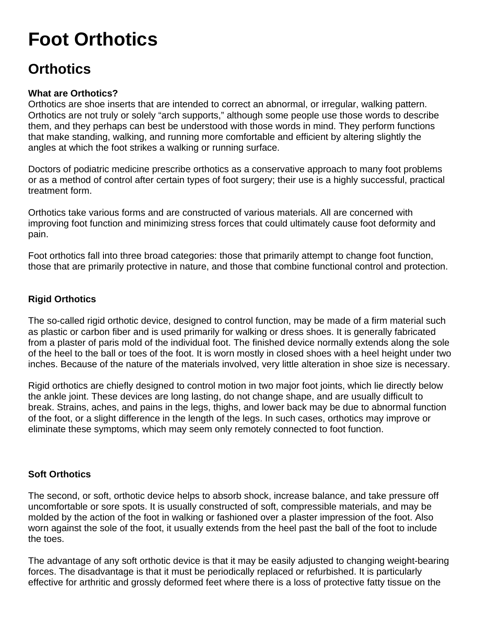# **Foot Orthotics**

# **Orthotics**

#### **What are Orthotics?**

Orthotics are shoe inserts that are intended to correct an abnormal, or irregular, walking pattern. Orthotics are not truly or solely "arch supports," although some people use those words to describe them, and they perhaps can best be understood with those words in mind. They perform functions that make standing, walking, and running more comfortable and efficient by altering slightly the angles at which the foot strikes a walking or running surface.

Doctors of podiatric medicine prescribe orthotics as a conservative approach to many foot problems or as a method of control after certain types of foot surgery; their use is a highly successful, practical treatment form.

Orthotics take various forms and are constructed of various materials. All are concerned with improving foot function and minimizing stress forces that could ultimately cause foot deformity and pain.

Foot orthotics fall into three broad categories: those that primarily attempt to change foot function, those that are primarily protective in nature, and those that combine functional control and protection.

#### **Rigid Orthotics**

The so-called rigid orthotic device, designed to control function, may be made of a firm material such as plastic or carbon fiber and is used primarily for walking or dress shoes. It is generally fabricated from a plaster of paris mold of the individual foot. The finished device normally extends along the sole of the heel to the ball or toes of the foot. It is worn mostly in closed shoes with a heel height under two inches. Because of the nature of the materials involved, very little alteration in shoe size is necessary.

Rigid orthotics are chiefly designed to control motion in two major foot joints, which lie directly below the ankle joint. These devices are long lasting, do not change shape, and are usually difficult to break. Strains, aches, and pains in the legs, thighs, and lower back may be due to abnormal function of the foot, or a slight difference in the length of the legs. In such cases, orthotics may improve or eliminate these symptoms, which may seem only remotely connected to foot function.

#### **Soft Orthotics**

The second, or soft, orthotic device helps to absorb shock, increase balance, and take pressure off uncomfortable or sore spots. It is usually constructed of soft, compressible materials, and may be molded by the action of the foot in walking or fashioned over a plaster impression of the foot. Also worn against the sole of the foot, it usually extends from the heel past the ball of the foot to include the toes.

The advantage of any soft orthotic device is that it may be easily adjusted to changing weight-bearing forces. The disadvantage is that it must be periodically replaced or refurbished. It is particularly effective for arthritic and grossly deformed feet where there is a loss of protective fatty tissue on the